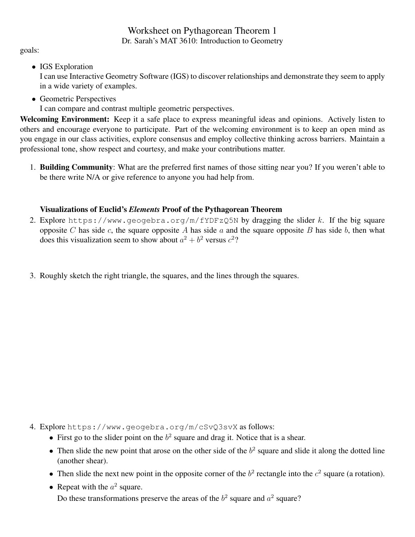## Worksheet on Pythagorean Theorem 1 Dr. Sarah's MAT 3610: Introduction to Geometry

goals:

• IGS Exploration

I can use Interactive Geometry Software (IGS) to discover relationships and demonstrate they seem to apply in a wide variety of examples.

• Geometric Perspectives I can compare and contrast multiple geometric perspectives.

Welcoming Environment: Keep it a safe place to express meaningful ideas and opinions. Actively listen to others and encourage everyone to participate. Part of the welcoming environment is to keep an open mind as you engage in our class activities, explore consensus and employ collective thinking across barriers. Maintain a professional tone, show respect and courtesy, and make your contributions matter.

1. Building Community: What are the preferred first names of those sitting near you? If you weren't able to be there write N/A or give reference to anyone you had help from.

# Visualizations of Euclid's *Elements* Proof of the Pythagorean Theorem

- 2. Explore https://www.geogebra.org/m/fYDFzQ5N by dragging the slider k. If the big square opposite C has side c, the square opposite A has side a and the square opposite B has side b, then what does this visualization seem to show about  $a^2 + b^2$  versus  $c^2$ ?
- 3. Roughly sketch the right triangle, the squares, and the lines through the squares.

- 4. Explore https://www.geogebra.org/m/cSvQ3svX as follows:
	- First go to the slider point on the  $b^2$  square and drag it. Notice that is a shear.
	- Then slide the new point that arose on the other side of the  $b<sup>2</sup>$  square and slide it along the dotted line (another shear).
	- Then slide the next new point in the opposite corner of the  $b<sup>2</sup>$  rectangle into the  $c<sup>2</sup>$  square (a rotation).
	- Repeat with the  $a^2$  square. Do these transformations preserve the areas of the  $b<sup>2</sup>$  square and  $a<sup>2</sup>$  square?